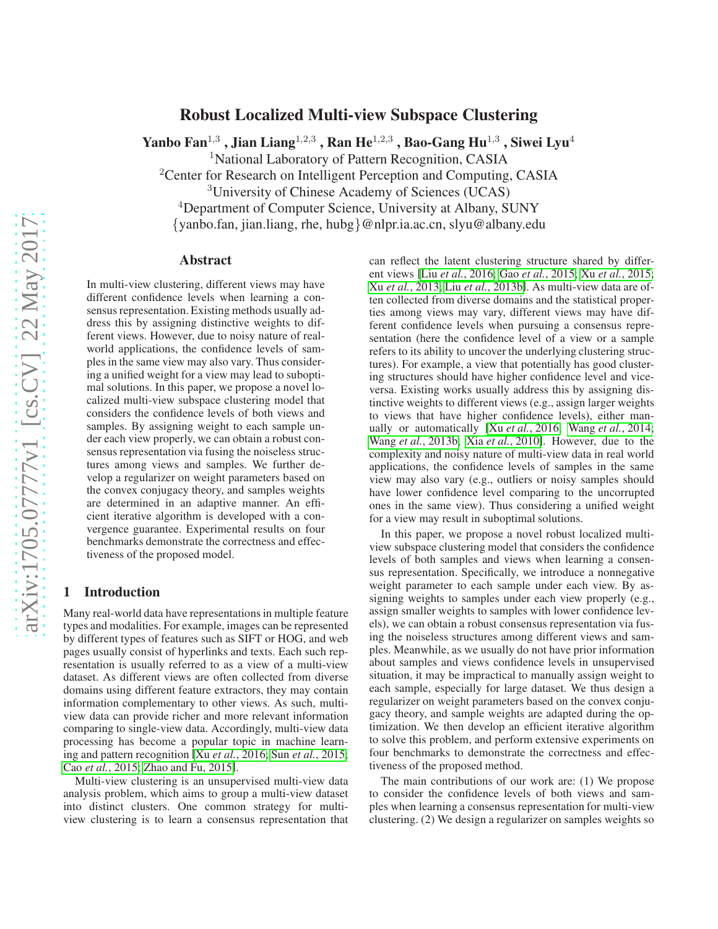# Robust Localized Multi-view Subspace Clustering

Yanbo Fan $^{1,3}$  , Jian Liang $^{1,2,3}$  , Ran He $^{1,2,3}$  , Bao-Gang Hu $^{1,3}$  , Siwei Lyu $^4$ 

<sup>1</sup>National Laboratory of Pattern Recognition, CASIA

<sup>2</sup>Center for Research on Intelligent Perception and Computing, CASIA

<sup>3</sup>University of Chinese Academy of Sciences (UCAS)

<sup>4</sup>Department of Computer Science, University at Albany, SUNY

{yanbo.fan, jian.liang, rhe, hubg}@nlpr.ia.ac.cn, slyu@albany.edu

### Abstract

In multi-view clustering, different views may have different confidence levels when learning a consensus representation. Existing methods usually address this by assigning distinctive weights to different views. However, due to noisy nature of realworld applications, the confidence levels of samples in the same view may also vary. Thus considering a unified weight for a view may lead to suboptimal solutions. In this paper, we propose a novel localized multi-view subspace clustering model that considers the confidence levels of both views and samples. By assigning weight to each sample under each view properly, we can obtain a robust consensus representation via fusing the noiseless structures among views and samples. We further develop a regularizer on weight parameters based on the convex conjugacy theory, and samples weights are determined in an adaptive manner. An efficient iterative algorithm is developed with a convergence guarantee. Experimental results on four benchmarks demonstrate the correctness and effectiveness of the proposed model.

### 1 Introduction

Many real-world data have representations in multiple feature types and modalities. For example, images can be represented by different types of features such as SIFT or HOG, and web pages usually consist of hyperlinks and texts. Each such representation is usually referred to as a view of a multi-view dataset. As different views are often collected from diverse domains using different feature extractors, they may contain information complementary to other views. As such, multiview data can provide richer and more relevant information comparing to single-view data. Accordingly, multi-view data processing has become a popular topic in machine learning and pattern recognition [Xu *et al.*[, 2016;](#page-6-0) Sun *et al.*[, 2015;](#page-6-1) Cao *et al.*[, 2015;](#page-6-2) [Zhao and Fu, 2015\]](#page-6-3).

Multi-view clustering is an unsupervised multi-view data analysis problem, which aims to group a multi-view dataset into distinct clusters. One common strategy for multiview clustering is to learn a consensus representation that can reflect the latent clustering structure shared by different views [Liu *et al.*[, 2016;](#page-6-4) Gao *et al.*[, 2015;](#page-6-5) Xu *et al.*[, 2015;](#page-6-6) Xu *et al.*[, 2013;](#page-6-7) Liu *et al.*[, 2013b\]](#page-6-8). As multi-view data are often collected from diverse domains and the statistical properties among views may vary, different views may have different confidence levels when pursuing a consensus representation (here the confidence level of a view or a sample refers to its ability to uncover the underlying clustering structures). For example, a view that potentially has good clustering structures should have higher confidence level and viceversa. Existing works usually address this by assigning distinctive weights to different views (e.g., assign larger weights to views that have higher confidence levels), either manually or automatically [Xu *et al.*[, 2016;](#page-6-0) Wang *et al.*[, 2014;](#page-6-9) Wang *et al.*[, 2013b;](#page-6-10) Xia *et al.*[, 2010\]](#page-6-11). However, due to the complexity and noisy nature of multi-view data in real world applications, the confidence levels of samples in the same view may also vary (e.g., outliers or noisy samples should have lower confidence level comparing to the uncorrupted ones in the same view). Thus considering a unified weight for a view may result in suboptimal solutions.

In this paper, we propose a novel robust localized multiview subspace clustering model that considers the confidence levels of both samples and views when learning a consensus representation. Specifically, we introduce a nonnegative weight parameter to each sample under each view. By assigning weights to samples under each view properly (e.g., assign smaller weights to samples with lower confidence levels), we can obtain a robust consensus representation via fusing the noiseless structures among different views and samples. Meanwhile, as we usually do not have prior information about samples and views confidence levels in unsupervised situation, it may be impractical to manually assign weight to each sample, especially for large dataset. We thus design a regularizer on weight parameters based on the convex conjugacy theory, and sample weights are adapted during the optimization. We then develop an efficient iterative algorithm to solve this problem, and perform extensive experiments on four benchmarks to demonstrate the correctness and effectiveness of the proposed method.

The main contributions of our work are: (1) We propose to consider the confidence levels of both views and samples when learning a consensus representation for multi-view clustering. (2) We design a regularizer on samples weights so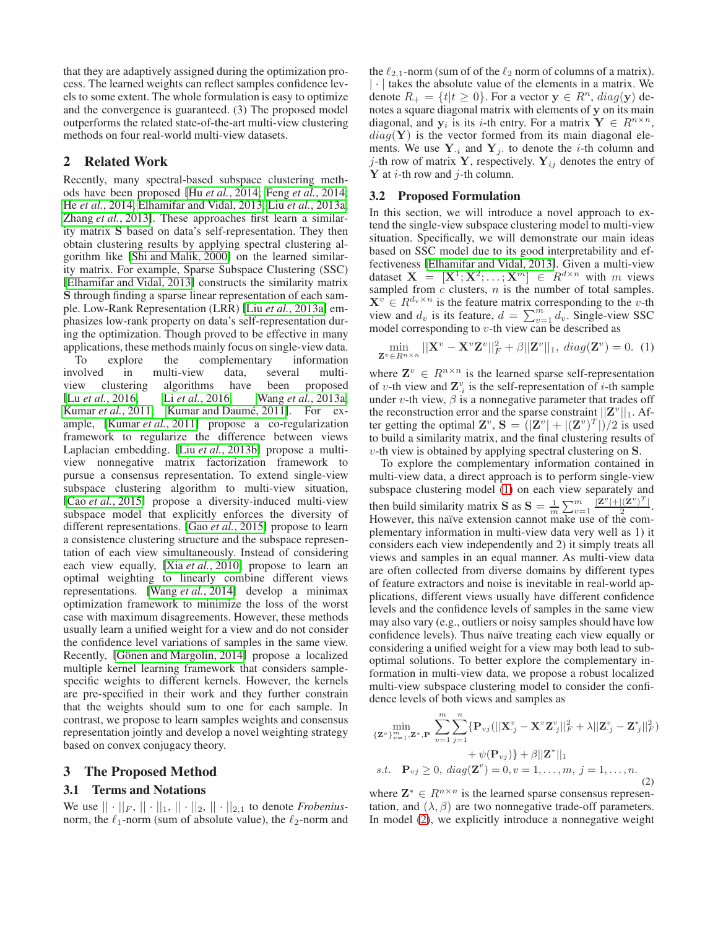that they are adaptively assigned during the optimization process. The learned weights can reflect samples confidence levels to some extent. The whole formulation is easy to optimize and the convergence is guaranteed. (3) The proposed model outperforms the related state-of-the-art multi-view clustering methods on four real-world multi-view datasets.

# 2 Related Work

Recently, many spectral-based subspace clustering methods have been proposed [Hu *et al.*[, 2014;](#page-6-12) Feng *et al.*[, 2014;](#page-6-13) He *et al.*[, 2014;](#page-6-14) [Elhamifar and Vidal, 2013;](#page-6-15) Liu *et al.*[, 2013a;](#page-6-16) Zhang *et al.*[, 2013\]](#page-6-17). These approaches first learn a similarity matrix S based on data's self-representation. They then obtain clustering results by applying spectral clustering algorithm like [\[Shi and Malik, 2000\]](#page-6-18) on the learned similarity matrix. For example, Sparse Subspace Clustering (SSC) [\[Elhamifar and Vidal, 2013\]](#page-6-15) constructs the similarity matrix S through finding a sparse linear representation of each sample. Low-Rank Representation (LRR) [Liu *et al.*[, 2013a\]](#page-6-16) emphasizes low-rank property on data's self-representation during the optimization. Though proved to be effective in many applications, these methods mainly focus on single-view data. To explore the complementary information involved in multi-view data, several multi-<br>view clustering algorithms have been proposed view clustering algorithms have been proposed [Lu *et al.*[, 2016;](#page-6-19) Li *et al.*[, 2016;](#page-6-20) Wang *et al.*[, 2013a;](#page-6-21) [Kumar](#page-6-22) *et al.*, 2011; Kumar and Daumé, 2011]. For example, [\[Kumar](#page-6-22) *et al.*, 2011] propose a co-regularization framework to regularize the difference between views Laplacian embedding. [Liu *et al.*[, 2013b\]](#page-6-8) propose a multiview nonnegative matrix factorization framework to pursue a consensus representation. To extend single-view subspace clustering algorithm to multi-view situation, [Cao *et al.*[, 2015\]](#page-6-2) propose a diversity-induced multi-view subspace model that explicitly enforces the diversity of different representations. [Gao *et al.*[, 2015\]](#page-6-5) propose to learn a consistence clustering structure and the subspace representation of each view simultaneously. Instead of considering each view equally, [Xia *et al.*[, 2010\]](#page-6-11) propose to learn an optimal weighting to linearly combine different views representations. [Wang *et al.*[, 2014\]](#page-6-9) develop a minimax optimization framework to minimize the loss of the worst case with maximum disagreements. However, these methods usually learn a unified weight for a view and do not consider the confidence level variations of samples in the same view. Recently, [Gönen and Margolin, 2014] propose a localized multiple kernel learning framework that considers samplespecific weights to different kernels. However, the kernels are pre-specified in their work and they further constrain that the weights should sum to one for each sample. In contrast, we propose to learn samples weights and consensus representation jointly and develop a novel weighting strategy based on convex conjugacy theory.

# 3 The Proposed Method

# 3.1 Terms and Notations

We use  $|| \cdot ||_F$ ,  $|| \cdot ||_1$ ,  $|| \cdot ||_2$ ,  $|| \cdot ||_{2,1}$  to denote *Frobenius*norm, the  $\ell_1$ -norm (sum of absolute value), the  $\ell_2$ -norm and the  $\ell_{2,1}$ -norm (sum of of the  $\ell_2$  norm of columns of a matrix). | · | takes the absolute value of the elements in a matrix. We denote  $R_+ = \{t | t \geq 0\}$ . For a vector  $y \in R^n$ ,  $diag(y)$  denotes a square diagonal matrix with elements of y on its main diagonal, and  $y_i$  is its *i*-th entry. For a matrix  $Y \in R^{n \times n}$ ,  $diag(Y)$  is the vector formed from its main diagonal elements. We use  $Y_{i}$  and  $Y_j$  to denote the *i*-th column and j-th row of matrix Y, respectively.  $Y_{ij}$  denotes the entry of  $Y$  at *i*-th row and *j*-th column.

### 3.2 Proposed Formulation

In this section, we will introduce a novel approach to extend the single-view subspace clustering model to multi-view situation. Specifically, we will demonstrate our main ideas based on SSC model due to its good interpretability and effectiveness [\[Elhamifar and Vidal, 2013\]](#page-6-15). Given a multi-view dataset  $X = [X^1; X^2; \dots; X^m] \in R^{d \times n}$  with m views sampled from  $c$  clusters,  $n$  is the number of total samples.  $X^v \in R^{d_v \times n}$  is the feature matrix corresponding to the v-th view and  $d_v$  is its feature,  $d = \sum_{v=1}^{m} d_v$ . Single-view SSC model corresponding to  $v$ -th view can be described as

<span id="page-1-0"></span>
$$
\min_{\mathbf{Z}^v \in R^{n \times n}} ||\mathbf{X}^v - \mathbf{X}^v \mathbf{Z}^v||_F^2 + \beta ||\mathbf{Z}^v||_1, \ diag(\mathbf{Z}^v) = 0. \tag{1}
$$

where  $\mathbf{Z}^v \in R^{n \times n}$  is the learned sparse self-representation of v-th view and  $\mathbf{Z}_{i}^{v}$  is the self-representation of *i*-th sample under v-th view,  $\beta$  is a nonnegative parameter that trades off the reconstruction error and the sparse constraint  $||Z^v||_1$ . After getting the optimal  $\mathbf{Z}^v$ ,  $\mathbf{S} = (|\mathbf{Z}^v| + |(\mathbf{Z}^v)^T|)/2$  is used to build a similarity matrix, and the final clustering results of  $v$ -th view is obtained by applying spectral clustering on  $S$ .

To explore the complementary information contained in multi-view data, a direct approach is to perform single-view subspace clustering model [\(1\)](#page-1-0) on each view separately and then build similarity matrix **S** as  $S = \frac{1}{m} \sum_{v=1}^{m} \frac{|\mathbf{Z}^v| + |(\mathbf{Z}^v)^T|}{\sum_{v=1}^{n} |\mathbf{Z}^v|}$  $\frac{|(L')|}{2}$ . However, this naïve extension cannot make use of the complementary information in multi-view data very well as 1) it considers each view independently and 2) it simply treats all views and samples in an equal manner. As multi-view data are often collected from diverse domains by different types of feature extractors and noise is inevitable in real-world applications, different views usually have different confidence levels and the confidence levels of samples in the same view may also vary (e.g., outliers or noisy samples should have low confidence levels). Thus naïve treating each view equally or considering a unified weight for a view may both lead to suboptimal solutions. To better explore the complementary information in multi-view data, we propose a robust localized multi-view subspace clustering model to consider the confidence levels of both views and samples as

<span id="page-1-1"></span>
$$
\min_{\{\mathbf{Z}^v\}_{v=1}^m, \mathbf{Z}^*, \mathbf{P}} \sum_{v=1}^m \sum_{j=1}^n \{\mathbf{P}_{vj}(||\mathbf{X}^v_{\cdot j} - \mathbf{X}^v \mathbf{Z}^v_{\cdot j}||_F^2 + \lambda ||\mathbf{Z}^v_{\cdot j} - \mathbf{Z}^*_{\cdot j}||_F^2) + \psi(\mathbf{P}_{vj})\} + \beta ||\mathbf{Z}^*||_1
$$
\ns.t.  $\mathbf{P}_{vj} \geq 0$ ,  $diag(\mathbf{Z}^v) = 0$ ,  $v = 1, ..., m, j = 1, ..., n$ . (2)

where  $\mathbf{Z}^* \in R^{n \times n}$  is the learned sparse consensus representation, and  $(\lambda, \beta)$  are two nonnegative trade-off parameters. In model [\(2\)](#page-1-1), we explicitly introduce a nonnegative weight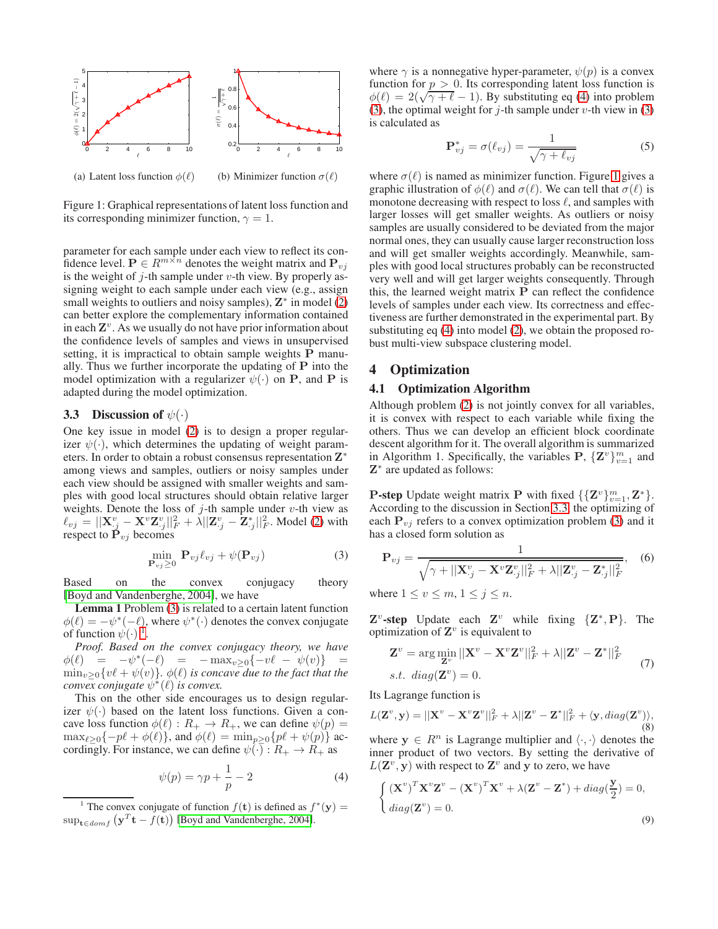

<span id="page-2-3"></span>Figure 1: Graphical representations of latent loss function and its corresponding minimizer function,  $\gamma = 1$ .

parameter for each sample under each view to reflect its confidence level.  $P \in R^{m \times n}$  denotes the weight matrix and  $P_{vi}$ is the weight of  $j$ -th sample under  $v$ -th view. By properly assigning weight to each sample under each view (e.g., assign small weights to outliers and noisy samples),  $\mathbf{Z}^*$  in model [\(2\)](#page-1-1) can better explore the complementary information contained in each  $\mathbf{Z}^v$ . As we usually do not have prior information about the confidence levels of samples and views in unsupervised setting, it is impractical to obtain sample weights P manually. Thus we further incorporate the updating of  $P$  into the model optimization with a regularizer  $\psi(\cdot)$  on **P**, and **P** is adapted during the model optimization.

#### <span id="page-2-4"></span>3.3 Discussion of  $\psi(\cdot)$

One key issue in model [\(2\)](#page-1-1) is to design a proper regularizer  $\psi(\cdot)$ , which determines the updating of weight parameters. In order to obtain a robust consensus representation Z<sup>\*</sup> among views and samples, outliers or noisy samples under each view should be assigned with smaller weights and samples with good local structures should obtain relative larger weights. Denote the loss of  $j$ -th sample under  $v$ -th view as  $\ell_{vj} = ||\mathbf{X}_{.j}^v - \mathbf{X}^v \mathbf{Z}_{.j}^v||_F^2 + \lambda ||\mathbf{Z}_{.j}^v - \mathbf{Z}_{.j}^*||_F^2$ . Model [\(2\)](#page-1-1) with respect to  $\dot{\mathbf{P}}_{vj}$  becomes

<span id="page-2-0"></span>
$$
\min_{\mathbf{P}_{vj}\geq 0} \mathbf{P}_{vj}\ell_{vj} + \psi(\mathbf{P}_{vj})
$$
\n(3)

Based on the convex conjugacy theory [\[Boyd and Vandenberghe, 2004\]](#page-6-25), we have

Lemma 1 Problem [\(3\)](#page-2-0) is related to a certain latent function  $\phi(\ell) = -\psi^*(-\ell)$ , where  $\psi^*(\cdot)$  denotes the convex conjugate of function  $\psi(\cdot)$ <sup>[1](#page-2-1)</sup>.

*Proof. Based on the convex conjugacy theory, we have*  $\phi(\ell) = -\psi^*(-\ell) = -\max_{v \geq 0} \{-v\ell - \psi(v)\} =$  $\min_{v>0} \{v\ell + \psi(v)\}\)$ .  $\phi(\ell)$  *is concave due to the fact that the convex conjugate*  $ψ<sup>*</sup>(ℓ)$  *is convex.* 

This on the other side encourages us to design regularizer  $\psi(\cdot)$  based on the latent loss functions. Given a concave loss function  $\phi(\ell) : R_+ \to R_+$ , we can define  $\psi(p) =$  $\max_{\ell \geq 0} \{-p\ell + \phi(\ell)\}\$ , and  $\phi(\ell) = \min_{p \geq 0} \{p\ell + \psi(p)\}\$  accordingly. For instance, we can define  $\psi(\cdot) : R_+ \to R_+$  as

<span id="page-2-2"></span>
$$
\psi(p) = \gamma p + \frac{1}{p} - 2\tag{4}
$$

where  $\gamma$  is a nonnegative hyper-parameter,  $\psi(p)$  is a convex function for  $p > 0$ . Its corresponding latent loss function is  $\phi(\ell) = 2(\sqrt{\gamma + \ell} - 1)$ . By substituting eq [\(4\)](#page-2-2) into problem [\(3\)](#page-2-0), the optimal weight for  $j$ -th sample under v-th view in (3) is calculated as

$$
\mathbf{P}_{vj}^* = \sigma(\ell_{vj}) = \frac{1}{\sqrt{\gamma + \ell_{vj}}}
$$
 (5)

where  $\sigma(\ell)$  is named as minimizer function. Figure [1](#page-2-3) gives a graphic illustration of  $\phi(\ell)$  and  $\sigma(\ell)$ . We can tell that  $\sigma(\ell)$  is monotone decreasing with respect to loss  $\ell$ , and samples with larger losses will get smaller weights. As outliers or noisy samples are usually considered to be deviated from the major normal ones, they can usually cause larger reconstruction loss and will get smaller weights accordingly. Meanwhile, samples with good local structures probably can be reconstructed very well and will get larger weights consequently. Through this, the learned weight matrix P can reflect the confidence levels of samples under each view. Its correctness and effectiveness are further demonstrated in the experimental part. By substituting eq [\(4\)](#page-2-2) into model [\(2\)](#page-1-1), we obtain the proposed robust multi-view subspace clustering model.

# 4 Optimization

#### 4.1 Optimization Algorithm

Although problem [\(2\)](#page-1-1) is not jointly convex for all variables, it is convex with respect to each variable while fixing the others. Thus we can develop an efficient block coordinate descent algorithm for it. The overall algorithm is summarized in Algorithm 1. Specifically, the variables P,  $\{Z^v\}_{v=1}^m$  and Z ∗ are updated as follows:

**P-step** Update weight matrix **P** with fixed  $\{\{\mathbf{Z}^v\}_{v=1}^m, \mathbf{Z}^*\}$ . According to the discussion in Section [3.3,](#page-2-4) the optimizing of each  $P_{vj}$  refers to a convex optimization problem [\(3\)](#page-2-0) and it has a closed form solution as

<span id="page-2-5"></span>
$$
\mathbf{P}_{vj} = \frac{1}{\sqrt{\gamma + ||\mathbf{X}_{.j}^v - \mathbf{X}^v \mathbf{Z}_{.j}^v||_F^2 + \lambda ||\mathbf{Z}_{.j}^v - \mathbf{Z}_{.j}^*||_F^2}},\quad(6)
$$

where  $1 \le v \le m$ ,  $1 \le j \le n$ .

 $\mathbf{Z}^v$ -step Update each  $\mathbf{Z}^v$  while fixing  $\{\mathbf{Z}^*, \mathbf{P}\}$ . The optimization of  $\mathbf{Z}^v$  is equivalent to

$$
\mathbf{Z}^v = \arg\min_{\mathbf{Z}^v} ||\mathbf{X}^v - \mathbf{X}^v \mathbf{Z}^v||_F^2 + \lambda ||\mathbf{Z}^v - \mathbf{Z}^*||_F^2
$$
  
s.t. diag( $\mathbf{Z}^v$ ) = 0. (7)

Its Lagrange function is

$$
L(\mathbf{Z}^v, \mathbf{y}) = ||\mathbf{X}^v - \mathbf{X}^v \mathbf{Z}^v||_F^2 + \lambda ||\mathbf{Z}^v - \mathbf{Z}^*||_F^2 + \langle \mathbf{y}, diag(\mathbf{Z}^v) \rangle, \tag{8}
$$

where  $y \in R^n$  is Lagrange multiplier and  $\langle \cdot, \cdot \rangle$  denotes the inner product of two vectors. By setting the derivative of  $L(\mathbf{Z}^v, \mathbf{y})$  with respect to  $\mathbf{Z}^v$  and y to zero, we have

$$
\begin{cases} (\mathbf{X}^v)^T \mathbf{X}^v \mathbf{Z}^v - (\mathbf{X}^v)^T \mathbf{X}^v + \lambda (\mathbf{Z}^v - \mathbf{Z}^*) + diag(\frac{\mathbf{y}}{2}) = 0, \\ diag(\mathbf{Z}^v) = 0. \end{cases}
$$
\n(9)

<span id="page-2-1"></span><sup>&</sup>lt;sup>1</sup> The convex conjugate of function  $f(\mathbf{t})$  is defined as  $f^*(\mathbf{y}) =$  $\sup_{\mathbf{t}\in\text{dom}f}(\mathbf{y}^T\mathbf{t} - f(\mathbf{t}))$  [\[Boyd and Vandenberghe, 2004\]](#page-6-25).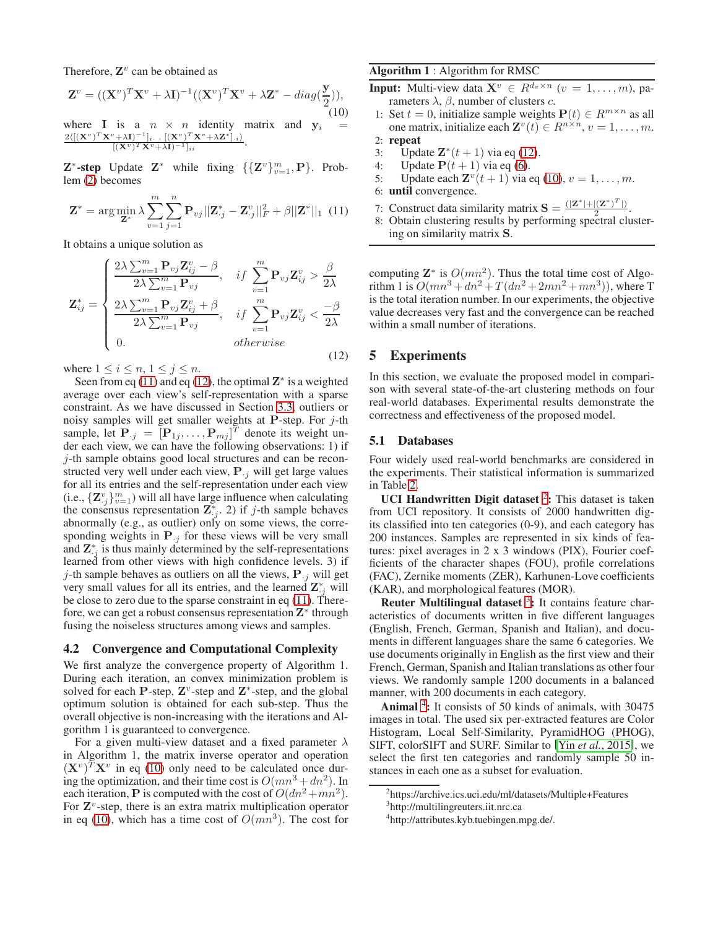Therefore,  $\mathbf{Z}^v$  can be obtained as

<span id="page-3-2"></span>
$$
\mathbf{Z}^v = ((\mathbf{X}^v)^T \mathbf{X}^v + \lambda \mathbf{I})^{-1} ((\mathbf{X}^v)^T \mathbf{X}^v + \lambda \mathbf{Z}^* - diag(\frac{\mathbf{y}}{2})),
$$
\n(10)

where **I** is a  $n \times n$  identity matrix and  $y_i$  $2\langle [(\mathbf{X}^v)^T \mathbf{X}^v + \lambda \mathbf{I})^{-1}]_i$ .,  $[(\mathbf{X}^v)^T \mathbf{X}^v + \lambda \mathbf{Z}^*]_{\cdot i}$  $[(\mathbf{X}^v)^T\mathbf{X}^v+\lambda\mathbf{I})^{-1}]_{ii}$ .

 $\mathbf{Z}^*$ -step Update  $\mathbf{Z}^*$  while fixing  $\{\{\mathbf{Z}^v\}_{v=1}^m, \mathbf{P}\}\$ . Problem [\(2\)](#page-1-1) becomes

<span id="page-3-0"></span>
$$
\mathbf{Z}^* = \arg\min_{\mathbf{Z}^*} \lambda \sum_{v=1}^m \sum_{j=1}^n \mathbf{P}_{vj} ||\mathbf{Z}^*_{\cdot j} - \mathbf{Z}^v_{\cdot j}||^2_F + \beta ||\mathbf{Z}^*||_1 \tag{11}
$$

It obtains a unique solution as

<span id="page-3-1"></span>
$$
\mathbf{Z}_{ij}^{*} = \begin{cases} \frac{2\lambda \sum_{v=1}^{m} \mathbf{P}_{vj} \mathbf{Z}_{ij}^{v} - \beta}{2\lambda \sum_{v=1}^{m} \mathbf{P}_{vj}}, & if \sum_{v=1}^{m} \mathbf{P}_{vj} \mathbf{Z}_{ij}^{v} > \frac{\beta}{2\lambda} \\ \frac{2\lambda \sum_{v=1}^{m} \mathbf{P}_{vj} \mathbf{Z}_{ij}^{v} + \beta}{2\lambda \sum_{v=1}^{m} \mathbf{P}_{vj}}, & if \sum_{v=1}^{m} \mathbf{P}_{vj} \mathbf{Z}_{ij}^{v} < \frac{-\beta}{2\lambda} \\ 0. & otherwise \end{cases}
$$
(12)

where  $1 \leq i \leq n, 1 \leq j \leq n$ .

Seen from eq [\(11\)](#page-3-0) and eq [\(12\)](#page-3-1), the optimal  $\mathbf{Z}^*$  is a weighted average over each view's self-representation with a sparse constraint. As we have discussed in Section [3.3,](#page-2-4) outliers or noisy samples will get smaller weights at P-step. For  $j$ -th sample, let  $\mathbf{P}_{\cdot j} = [\mathbf{P}_{1j}, \dots, \mathbf{P}_{mj}]^T$  denote its weight under each view, we can have the following observations: 1) if j-th sample obtains good local structures and can be reconstructed very well under each view,  $P_{i}$  will get large values for all its entries and the self-representation under each view (i.e.,  ${\mathbf Z}^v_j}_{v=1}^m$ ) will all have large influence when calculating the consensus representation  $\overline{\mathbf{Z}_{j}^{*}}$ . 2) if j-th sample behaves abnormally (e.g., as outlier) only on some views, the corresponding weights in  $P_{i,j}$  for these views will be very small and  $\mathbf{Z}_{i,j}^*$  is thus mainly determined by the self-representations learned from other views with high confidence levels. 3) if j-th sample behaves as outliers on all the views,  $P_{i,j}$  will get very small values for all its entries, and the learned  $\mathbf{Z}_{:,j}^*$  will be close to zero due to the sparse constraint in eq [\(11\)](#page-3-0). Therefore, we can get a robust consensus representation  $\mathbf{Z}^*$  through fusing the noiseless structures among views and samples.

#### 4.2 Convergence and Computational Complexity

We first analyze the convergence property of Algorithm 1. During each iteration, an convex minimization problem is solved for each P-step,  $\mathbf{Z}^v$ -step and  $\mathbf{Z}^*$ -step, and the global optimum solution is obtained for each sub-step. Thus the overall objective is non-increasing with the iterations and Algorithm 1 is guaranteed to convergence.

For a given multi-view dataset and a fixed parameter  $\lambda$ in Algorithm 1, the matrix inverse operator and operation  $(\mathbf{X}^v)^T \mathbf{X}^v$  in eq [\(10\)](#page-3-2) only need to be calculated once during the optimization, and their time cost is  $O(mn^3 + dn^2)$ . In each iteration, **P** is computed with the cost of  $O(dn^2 + mn^2)$ . For  $\mathbf{Z}^v$ -step, there is an extra matrix multiplication operator in eq [\(10\)](#page-3-2), which has a time cost of  $O(mn^3)$ . The cost for

## Algorithm 1 : Algorithm for RMSC

- **Input:** Multi-view data  $X^v \in R^{d_v \times n}$   $(v = 1, \ldots, m)$ , parameters  $λ$ ,  $β$ , number of clusters  $c$ .
- 1: Set  $t = 0$ , initialize sample weights  $P(t) \in R^{m \times n}$  as all one matrix, initialize each  $\mathbf{Z}^v(t) \in R^{n \times n}, v = 1, \dots, m$ . 2: repeat
- 
- 3: Update  $\mathbf{Z}^*(t+1)$  via eq [\(12\)](#page-3-1).
- 4: Update  $P(t + 1)$  via eq [\(6\)](#page-2-5).
- 5: Update each  $\mathbf{Z}^v(t+1)$  via eq [\(10\)](#page-3-2),  $v=1,\ldots,m$ .
- 6: until convergence.
- 7: Construct data similarity matrix  $\mathbf{S} = \frac{(|\mathbf{Z}^*|+|(\mathbf{Z}^*)^T|)}{2}$  $\frac{|\mathbf{2}|}{2}$ .
- 8: Obtain clustering results by performing spectral clustering on similarity matrix S.

computing  $\mathbf{Z}^*$  is  $O(mn^2)$ . Thus the total time cost of Algorithm 1 is  $O(mn^3 + dn^2 + T(dn^2 + 2mn^2 + mn^3))$ , where T is the total iteration number. In our experiments, the objective value decreases very fast and the convergence can be reached within a small number of iterations.

### 5 Experiments

In this section, we evaluate the proposed model in comparison with several state-of-the-art clustering methods on four real-world databases. Experimental results demonstrate the correctness and effectiveness of the proposed model.

#### 5.1 Databases

Four widely used real-world benchmarks are considered in the experiments. Their statistical information is summarized in Table [2.](#page-4-0)

UCI Handwritten Digit dataset  $2$ : This dataset is taken from UCI repository. It consists of 2000 handwritten digits classified into ten categories (0-9), and each category has 200 instances. Samples are represented in six kinds of features: pixel averages in 2 x 3 windows (PIX), Fourier coefficients of the character shapes (FOU), profile correlations (FAC), Zernike moments (ZER), Karhunen-Love coefficients (KAR), and morphological features (MOR).

Reuter Multilingual dataset  $3$ : It contains feature characteristics of documents written in five different languages (English, French, German, Spanish and Italian), and documents in different languages share the same 6 categories. We use documents originally in English as the first view and their French, German, Spanish and Italian translations as other four views. We randomly sample 1200 documents in a balanced manner, with 200 documents in each category.

Animal<sup>[4](#page-3-5)</sup>: It consists of 50 kinds of animals, with 30475 images in total. The used six per-extracted features are Color Histogram, Local Self-Similarity, PyramidHOG (PHOG), SIFT, colorSIFT and SURF. Similar to [Yin *et al.*[, 2015\]](#page-6-26), we select the first ten categories and randomly sample 50 instances in each one as a subset for evaluation.

<sup>2</sup> https://archive.ics.uci.edu/ml/datasets/Multiple+Features

<span id="page-3-3"></span><sup>3</sup> http://multilingreuters.iit.nrc.ca

<span id="page-3-5"></span><span id="page-3-4"></span><sup>4</sup> http://attributes.kyb.tuebingen.mpg.de/.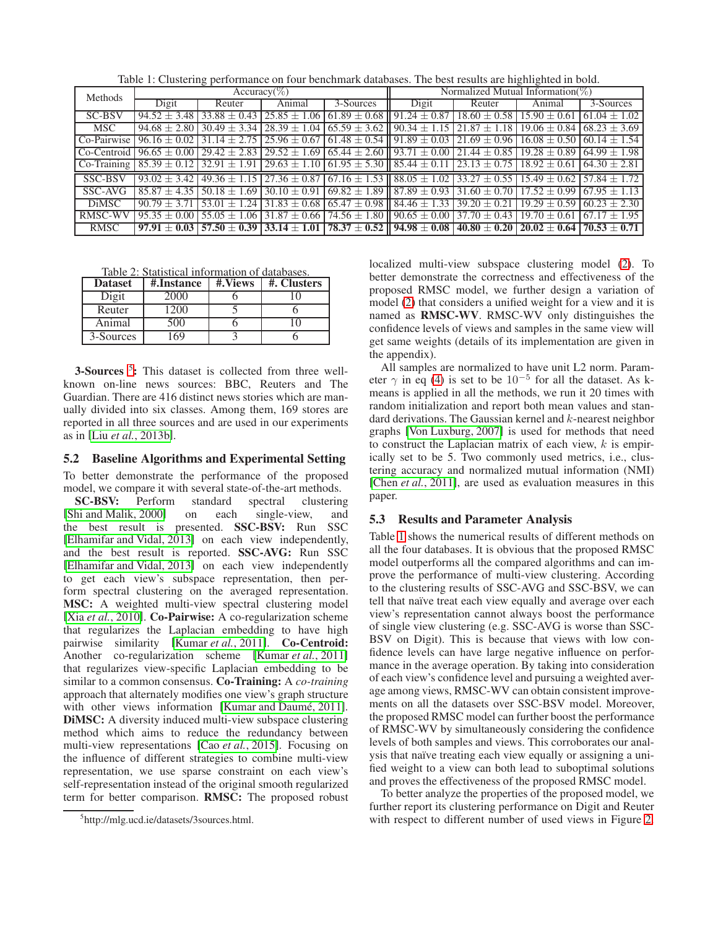<span id="page-4-2"></span>

| Table 1: Clustering performance on four benchmark databases. The best results are highlighted in bold. |  |  |  |  |
|--------------------------------------------------------------------------------------------------------|--|--|--|--|
|                                                                                                        |  |  |  |  |

| Methods        | ັ້<br>$Accuracy(\%)$                                 |                   |                  |                                       | Normalized Mutual Information( $\%$ ) |                  |                                                        |                  |  |
|----------------|------------------------------------------------------|-------------------|------------------|---------------------------------------|---------------------------------------|------------------|--------------------------------------------------------|------------------|--|
|                | Digit                                                | Reuter            | Animal           | 3-Sources                             | Digit                                 | Reuter           | Animal                                                 | 3-Sources        |  |
| SC-BSV         | $94.52 \pm 3.48$                                     | $33.88 + 0.43$    | $25.85 + 1.06$   | $61.89 \pm 0.68$                      | $91.24 + 0.87$                        | $18.60 + 0.58$   | $15.90 + 0.61$                                         | $61.04 \pm 1.02$ |  |
| <b>MSC</b>     | $94.68 + 2.80$                                       | $30.49 + 3.34$    | $28.39 + 1.04$   | $\sqrt{65.59} \pm 3.62$               | $90.34 + 1.15$                        | $21.87 + 1.18$   | $19.06 + 0.84$                                         | $68.23 + 3.69$   |  |
| Co-Pairwise    | $96.16 + 0.02$                                       | $31.14 + 2.75$    | $25.96 + 0.67$   | $61.48 \pm 0.54$                      | $91.89 + 0.03$                        | $21.69 + 0.96$   | $16.08 + 0.50$                                         | $60.14 + 1.54$   |  |
| Co-Centroid    | $96.65 + 0.00$                                       | $29.42 + 2.83$    | $29.52 \pm 1.69$ | $65.44 \pm 2.60$                      | $93.71 + 0.00$                        | $21.44 + 0.85$   | $19.28 + 0.89$                                         | $64.99 + 1.98$   |  |
|                | $\vert$ Co-Training $\vert$ 85.39 $\pm$ 0.12 $\vert$ | $132.91 \pm 1.91$ | $29.63 \pm 1.10$ | $161.95 \pm 5.30$ 1 85.44 $\pm$ 0.11  |                                       | $23.13 \pm 0.75$ | $18.92 + 0.61$                                         | $64.30 + 2.81$   |  |
| SSC-BSV        | $93.02 + 3.42$                                       | $49.36 + 1.15$    | $27.36 \pm 0.87$ | $\sqrt{67.16 \pm 1.53}$               | $88.05 \pm 1.02$                      |                  | $33.27 \pm 0.55$   15.49 $\pm$ 0.62                    | $57.84 + 1.72$   |  |
| SSC-AVG        | $85.87 + 4.35$                                       | $50.18 + 1.69$    | $30.10 + 0.91$   | $69.82 \pm 1.89$                      | $87.89 \pm 0.93$                      | $31.60 + 0.70$   | $17.52 + 0.99$                                         | $67.95 + 1.13$   |  |
| <b>DiMSC</b>   | $90.79 + 3.7$                                        | $53.01 + 1.24$    | $31.83 \pm 0.68$ | $65.47 \pm 0.98$                      | $84.46 \pm 1.33$                      | 39.20<br>$+0.21$ | 19.29<br>$+0.59$                                       | $60.23 + 2.30$   |  |
| <b>RMSC-WV</b> | $95.35 + 0.00$                                       | $55.05 + 1.06$    | $31.87 \pm 0.66$ | $74.56 \pm 1.80$                      | $90.65 + 0.00$                        | $37.70 + 0.43$   | $19.70 + 0.61$                                         | $67.17 + 1.95$   |  |
| <b>RMSC</b>    | $97.91 + 0.03$                                       | $57.50 + 0.39$    | $33.14 \pm 1.01$ | $178.37 \pm 0.52$    $94.98 \pm 0.08$ |                                       |                  | $40.80 \pm 0.20$   $20.02 \pm 0.64$   $70.53 \pm 0.71$ |                  |  |

<span id="page-4-0"></span>Table 2: Statistical information of databases.

| <b>Dataset</b> | #.Instance | #.Views | #. Clusters |
|----------------|------------|---------|-------------|
| Digit          | 2000       |         |             |
| Reuter         | 200        |         |             |
| Animal         | 500 F      |         |             |
| 3-Sources      |            |         |             |

3-Sources<sup>[5](#page-4-1)</sup>: This dataset is collected from three wellknown on-line news sources: BBC, Reuters and The Guardian. There are 416 distinct news stories which are manually divided into six classes. Among them, 169 stores are reported in all three sources and are used in our experiments as in [Liu *et al.*[, 2013b\]](#page-6-8).

### <span id="page-4-3"></span>5.2 Baseline Algorithms and Experimental Setting

To better demonstrate the performance of the proposed model, we compare it with several state-of-the-art methods.

SC-BSV: Perform standard spectral clustering [\[Shi and Malik, 2000\]](#page-6-18) on each single-view, and the best result is presented. SSC-BSV: Run SSC [\[Elhamifar and Vidal, 2013\]](#page-6-15) on each view independently, and the best result is reported. SSC-AVG: Run SSC [\[Elhamifar and Vidal, 2013\]](#page-6-15) on each view independently to get each view's subspace representation, then perform spectral clustering on the averaged representation. MSC: A weighted multi-view spectral clustering model [Xia *et al.*[, 2010\]](#page-6-11). **Co-Pairwise:** A co-regularization scheme that regularizes the Laplacian embedding to have high pairwise similarity [\[Kumar](#page-6-22) et al., 2011]. Co-Centroid: Another co-regularization scheme [\[Kumar](#page-6-22) *et al.*, 2011] that regularizes view-specific Laplacian embedding to be similar to a common consensus. Co-Training: A *co-training* approach that alternately modifies one view's graph structure with other views information [Kumar and Daumé, 2011]. DiMSC: A diversity induced multi-view subspace clustering method which aims to reduce the redundancy between multi-view representations [Cao *et al.*[, 2015\]](#page-6-2). Focusing on the influence of different strategies to combine multi-view representation, we use sparse constraint on each view's self-representation instead of the original smooth regularized term for better comparison. RMSC: The proposed robust localized multi-view subspace clustering model [\(2\)](#page-1-1). To better demonstrate the correctness and effectiveness of the proposed RMSC model, we further design a variation of model [\(2\)](#page-1-1) that considers a unified weight for a view and it is named as RMSC-WV. RMSC-WV only distinguishes the confidence levels of views and samples in the same view will get same weights (details of its implementation are given in the appendix).

All samples are normalized to have unit L2 norm. Parameter  $\gamma$  in eq [\(4\)](#page-2-2) is set to be  $10^{-5}$  for all the dataset. As kmeans is applied in all the methods, we run it 20 times with random initialization and report both mean values and standard derivations. The Gaussian kernel and  $k$ -nearest neighbor graphs [\[Von Luxburg, 2007\]](#page-6-27) is used for methods that need to construct the Laplacian matrix of each view,  $k$  is empirically set to be 5. Two commonly used metrics, i.e., clustering accuracy and normalized mutual information (NMI) [Chen *et al.*[, 2011\]](#page-6-28), are used as evaluation measures in this paper.

# 5.3 Results and Parameter Analysis

Table [1](#page-4-2) shows the numerical results of different methods on all the four databases. It is obvious that the proposed RMSC model outperforms all the compared algorithms and can improve the performance of multi-view clustering. According to the clustering results of SSC-AVG and SSC-BSV, we can tell that naïve treat each view equally and average over each view's representation cannot always boost the performance of single view clustering (e.g. SSC-AVG is worse than SSC-BSV on Digit). This is because that views with low confidence levels can have large negative influence on performance in the average operation. By taking into consideration of each view's confidence level and pursuing a weighted average among views, RMSC-WV can obtain consistent improvements on all the datasets over SSC-BSV model. Moreover, the proposed RMSC model can further boost the performance of RMSC-WV by simultaneously considering the confidence levels of both samples and views. This corroborates our analysis that naïve treating each view equally or assigning a unified weight to a view can both lead to suboptimal solutions and proves the effectiveness of the proposed RMSC model.

To better analyze the properties of the proposed model, we further report its clustering performance on Digit and Reuter with respect to different number of used views in Figure [2.](#page-5-0)

<span id="page-4-1"></span><sup>5</sup> http://mlg.ucd.ie/datasets/3sources.html.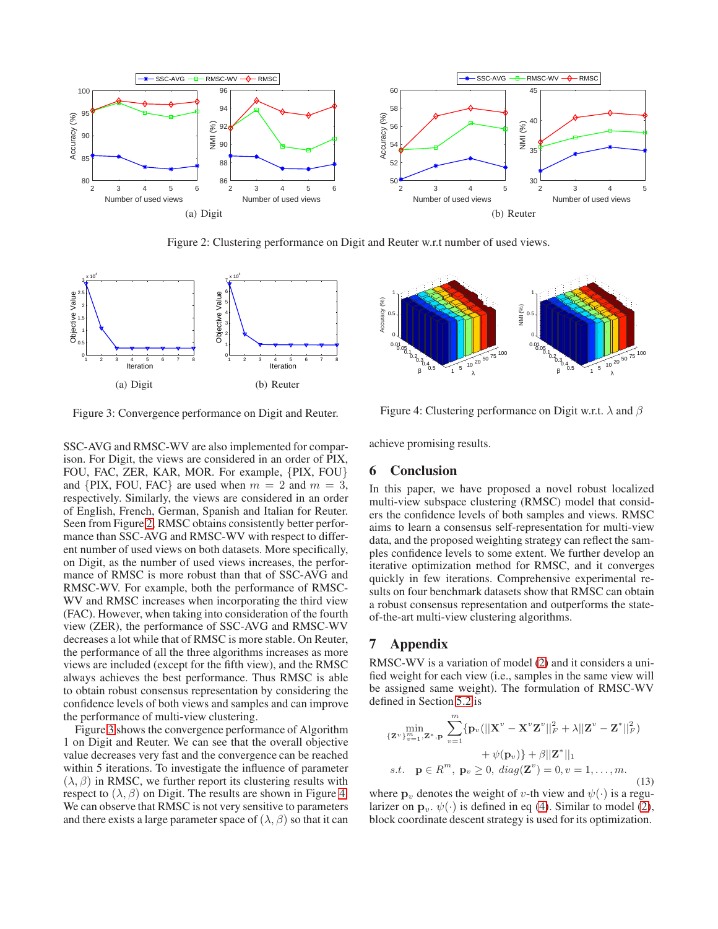

<span id="page-5-0"></span>Figure 2: Clustering performance on Digit and Reuter w.r.t number of used views.



<span id="page-5-1"></span>Figure 3: Convergence performance on Digit and Reuter.

SSC-AVG and RMSC-WV are also implemented for comparison. For Digit, the views are considered in an order of PIX, FOU, FAC, ZER, KAR, MOR. For example, {PIX, FOU} and {PIX, FOU, FAC} are used when  $m = 2$  and  $m = 3$ , respectively. Similarly, the views are considered in an order of English, French, German, Spanish and Italian for Reuter. Seen from Figure [2,](#page-5-0) RMSC obtains consistently better performance than SSC-AVG and RMSC-WV with respect to different number of used views on both datasets. More specifically, on Digit, as the number of used views increases, the performance of RMSC is more robust than that of SSC-AVG and RMSC-WV. For example, both the performance of RMSC-WV and RMSC increases when incorporating the third view (FAC). However, when taking into consideration of the fourth view (ZER), the performance of SSC-AVG and RMSC-WV decreases a lot while that of RMSC is more stable. On Reuter, the performance of all the three algorithms increases as more views are included (except for the fifth view), and the RMSC always achieves the best performance. Thus RMSC is able to obtain robust consensus representation by considering the confidence levels of both views and samples and can improve the performance of multi-view clustering.

Figure [3](#page-5-1) shows the convergence performance of Algorithm 1 on Digit and Reuter. We can see that the overall objective value decreases very fast and the convergence can be reached within 5 iterations. To investigate the influence of parameter  $(\lambda, \beta)$  in RMSC, we further report its clustering results with respect to  $(\lambda, \beta)$  on Digit. The results are shown in Figure [4.](#page-5-2) We can observe that RMSC is not very sensitive to parameters and there exists a large parameter space of  $(\lambda, \beta)$  so that it can



<span id="page-5-2"></span>Figure 4: Clustering performance on Digit w.r.t.  $\lambda$  and  $\beta$ 

achieve promising results.

### 6 Conclusion

In this paper, we have proposed a novel robust localized multi-view subspace clustering (RMSC) model that considers the confidence levels of both samples and views. RMSC aims to learn a consensus self-representation for multi-view data, and the proposed weighting strategy can reflect the samples confidence levels to some extent. We further develop an iterative optimization method for RMSC, and it converges quickly in few iterations. Comprehensive experimental results on four benchmark datasets show that RMSC can obtain a robust consensus representation and outperforms the stateof-the-art multi-view clustering algorithms.

### 7 Appendix

RMSC-WV is a variation of model [\(2\)](#page-1-1) and it considers a unified weight for each view (i.e., samples in the same view will be assigned same weight). The formulation of RMSC-WV defined in Section [5.2](#page-4-3) is

$$
\min_{\{\mathbf{Z}^v\}_{v=1}^m, \mathbf{Z}^*, \mathbf{p}} \sum_{v=1}^m \{\mathbf{p}_v(||\mathbf{X}^v - \mathbf{X}^v \mathbf{Z}^v||_F^2 + \lambda ||\mathbf{Z}^v - \mathbf{Z}^*||_F^2) + \psi(\mathbf{p}_v)\} + \beta ||\mathbf{Z}^*||_1
$$
\n
$$
s.t. \quad \mathbf{p} \in R^m, \ \mathbf{p}_v \ge 0, \ diag(\mathbf{Z}^v) = 0, v = 1, \dots, m. \tag{13}
$$

where  $\mathbf{p}_v$  denotes the weight of v-th view and  $\psi(\cdot)$  is a regularizer on  $\mathbf{p}_v$ ,  $\psi(\cdot)$  is defined in eq [\(4\)](#page-2-2). Similar to model [\(2\)](#page-1-1), block coordinate descent strategy is used for its optimization.